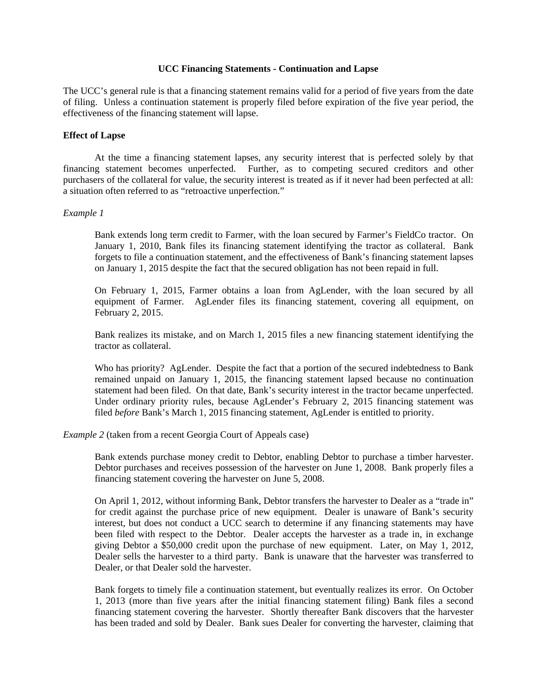#### **UCC Financing Statements - Continuation and Lapse**

The UCC's general rule is that a financing statement remains valid for a period of five years from the date of filing. Unless a continuation statement is properly filed before expiration of the five year period, the effectiveness of the financing statement will lapse.

## **Effect of Lapse**

 At the time a financing statement lapses, any security interest that is perfected solely by that financing statement becomes unperfected. Further, as to competing secured creditors and other purchasers of the collateral for value, the security interest is treated as if it never had been perfected at all: a situation often referred to as "retroactive unperfection."

## *Example 1*

Bank extends long term credit to Farmer, with the loan secured by Farmer's FieldCo tractor. On January 1, 2010, Bank files its financing statement identifying the tractor as collateral. Bank forgets to file a continuation statement, and the effectiveness of Bank's financing statement lapses on January 1, 2015 despite the fact that the secured obligation has not been repaid in full.

On February 1, 2015, Farmer obtains a loan from AgLender, with the loan secured by all equipment of Farmer. AgLender files its financing statement, covering all equipment, on February 2, 2015.

Bank realizes its mistake, and on March 1, 2015 files a new financing statement identifying the tractor as collateral.

Who has priority? AgLender. Despite the fact that a portion of the secured indebtedness to Bank remained unpaid on January 1, 2015, the financing statement lapsed because no continuation statement had been filed. On that date, Bank's security interest in the tractor became unperfected. Under ordinary priority rules, because AgLender's February 2, 2015 financing statement was filed *before* Bank's March 1, 2015 financing statement, AgLender is entitled to priority.

## *Example 2* (taken from a recent Georgia Court of Appeals case)

Bank extends purchase money credit to Debtor, enabling Debtor to purchase a timber harvester. Debtor purchases and receives possession of the harvester on June 1, 2008. Bank properly files a financing statement covering the harvester on June 5, 2008.

On April 1, 2012, without informing Bank, Debtor transfers the harvester to Dealer as a "trade in" for credit against the purchase price of new equipment. Dealer is unaware of Bank's security interest, but does not conduct a UCC search to determine if any financing statements may have been filed with respect to the Debtor. Dealer accepts the harvester as a trade in, in exchange giving Debtor a \$50,000 credit upon the purchase of new equipment. Later, on May 1, 2012, Dealer sells the harvester to a third party. Bank is unaware that the harvester was transferred to Dealer, or that Dealer sold the harvester.

Bank forgets to timely file a continuation statement, but eventually realizes its error. On October 1, 2013 (more than five years after the initial financing statement filing) Bank files a second financing statement covering the harvester. Shortly thereafter Bank discovers that the harvester has been traded and sold by Dealer. Bank sues Dealer for converting the harvester, claiming that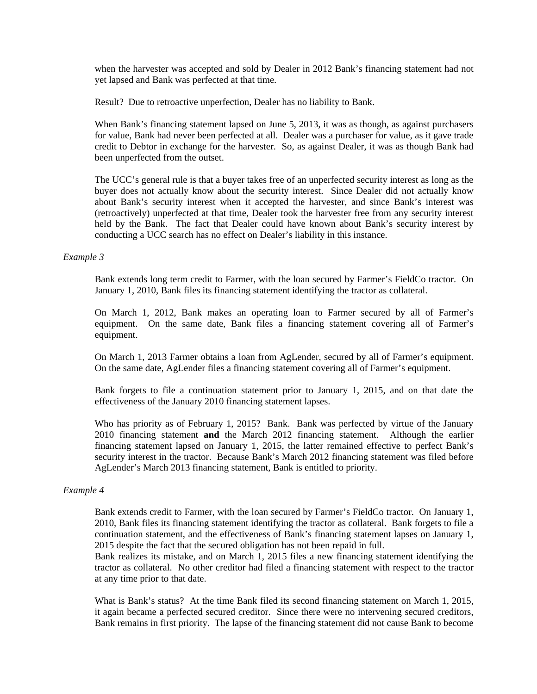when the harvester was accepted and sold by Dealer in 2012 Bank's financing statement had not yet lapsed and Bank was perfected at that time.

Result? Due to retroactive unperfection, Dealer has no liability to Bank.

When Bank's financing statement lapsed on June 5, 2013, it was as though, as against purchasers for value, Bank had never been perfected at all. Dealer was a purchaser for value, as it gave trade credit to Debtor in exchange for the harvester. So, as against Dealer, it was as though Bank had been unperfected from the outset.

The UCC's general rule is that a buyer takes free of an unperfected security interest as long as the buyer does not actually know about the security interest. Since Dealer did not actually know about Bank's security interest when it accepted the harvester, and since Bank's interest was (retroactively) unperfected at that time, Dealer took the harvester free from any security interest held by the Bank. The fact that Dealer could have known about Bank's security interest by conducting a UCC search has no effect on Dealer's liability in this instance.

#### *Example 3*

Bank extends long term credit to Farmer, with the loan secured by Farmer's FieldCo tractor. On January 1, 2010, Bank files its financing statement identifying the tractor as collateral.

On March 1, 2012, Bank makes an operating loan to Farmer secured by all of Farmer's equipment. On the same date, Bank files a financing statement covering all of Farmer's equipment.

On March 1, 2013 Farmer obtains a loan from AgLender, secured by all of Farmer's equipment. On the same date, AgLender files a financing statement covering all of Farmer's equipment.

Bank forgets to file a continuation statement prior to January 1, 2015, and on that date the effectiveness of the January 2010 financing statement lapses.

Who has priority as of February 1, 2015? Bank. Bank was perfected by virtue of the January 2010 financing statement **and** the March 2012 financing statement. Although the earlier financing statement lapsed on January 1, 2015, the latter remained effective to perfect Bank's security interest in the tractor. Because Bank's March 2012 financing statement was filed before AgLender's March 2013 financing statement, Bank is entitled to priority.

## *Example 4*

Bank extends credit to Farmer, with the loan secured by Farmer's FieldCo tractor. On January 1, 2010, Bank files its financing statement identifying the tractor as collateral. Bank forgets to file a continuation statement, and the effectiveness of Bank's financing statement lapses on January 1, 2015 despite the fact that the secured obligation has not been repaid in full.

Bank realizes its mistake, and on March 1, 2015 files a new financing statement identifying the tractor as collateral. No other creditor had filed a financing statement with respect to the tractor at any time prior to that date.

What is Bank's status? At the time Bank filed its second financing statement on March 1, 2015, it again became a perfected secured creditor. Since there were no intervening secured creditors, Bank remains in first priority. The lapse of the financing statement did not cause Bank to become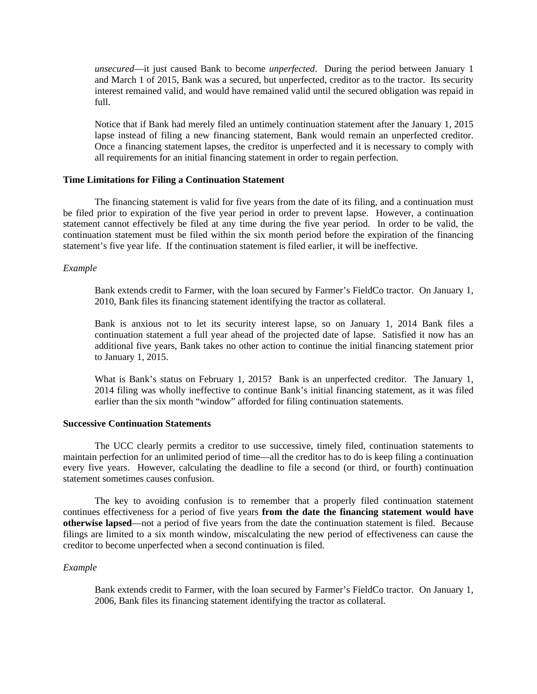*unsecured*—it just caused Bank to become *unperfected*. During the period between January 1 and March 1 of 2015, Bank was a secured, but unperfected, creditor as to the tractor. Its security interest remained valid, and would have remained valid until the secured obligation was repaid in full.

Notice that if Bank had merely filed an untimely continuation statement after the January 1, 2015 lapse instead of filing a new financing statement, Bank would remain an unperfected creditor. Once a financing statement lapses, the creditor is unperfected and it is necessary to comply with all requirements for an initial financing statement in order to regain perfection.

# **Time Limitations for Filing a Continuation Statement**

 The financing statement is valid for five years from the date of its filing, and a continuation must be filed prior to expiration of the five year period in order to prevent lapse. However, a continuation statement cannot effectively be filed at any time during the five year period. In order to be valid, the continuation statement must be filed within the six month period before the expiration of the financing statement's five year life. If the continuation statement is filed earlier, it will be ineffective.

#### *Example*

Bank extends credit to Farmer, with the loan secured by Farmer's FieldCo tractor. On January 1, 2010, Bank files its financing statement identifying the tractor as collateral.

Bank is anxious not to let its security interest lapse, so on January 1, 2014 Bank files a continuation statement a full year ahead of the projected date of lapse. Satisfied it now has an additional five years, Bank takes no other action to continue the initial financing statement prior to January 1, 2015.

What is Bank's status on February 1, 2015? Bank is an unperfected creditor. The January 1, 2014 filing was wholly ineffective to continue Bank's initial financing statement, as it was filed earlier than the six month "window" afforded for filing continuation statements.

#### **Successive Continuation Statements**

 The UCC clearly permits a creditor to use successive, timely filed, continuation statements to maintain perfection for an unlimited period of time—all the creditor has to do is keep filing a continuation every five years. However, calculating the deadline to file a second (or third, or fourth) continuation statement sometimes causes confusion.

 The key to avoiding confusion is to remember that a properly filed continuation statement continues effectiveness for a period of five years **from the date the financing statement would have otherwise lapsed**—not a period of five years from the date the continuation statement is filed. Because filings are limited to a six month window, miscalculating the new period of effectiveness can cause the creditor to become unperfected when a second continuation is filed.

### *Example*

Bank extends credit to Farmer, with the loan secured by Farmer's FieldCo tractor. On January 1, 2006, Bank files its financing statement identifying the tractor as collateral.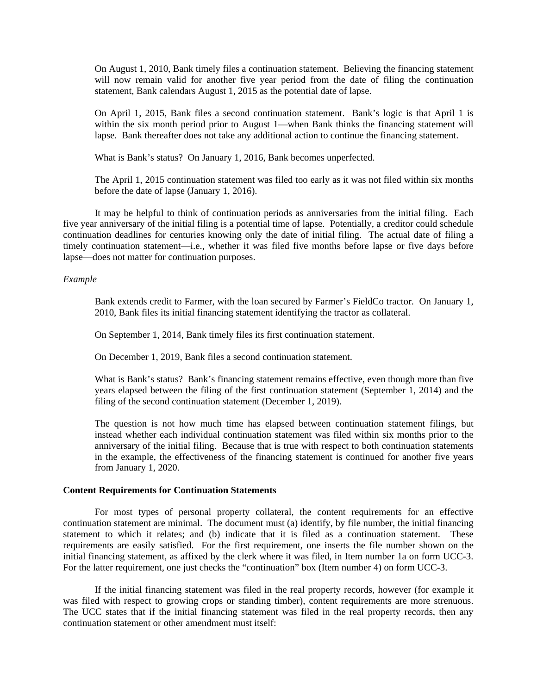On August 1, 2010, Bank timely files a continuation statement. Believing the financing statement will now remain valid for another five year period from the date of filing the continuation statement, Bank calendars August 1, 2015 as the potential date of lapse.

On April 1, 2015, Bank files a second continuation statement. Bank's logic is that April 1 is within the six month period prior to August 1—when Bank thinks the financing statement will lapse. Bank thereafter does not take any additional action to continue the financing statement.

What is Bank's status? On January 1, 2016, Bank becomes unperfected.

The April 1, 2015 continuation statement was filed too early as it was not filed within six months before the date of lapse (January 1, 2016).

 It may be helpful to think of continuation periods as anniversaries from the initial filing. Each five year anniversary of the initial filing is a potential time of lapse. Potentially, a creditor could schedule continuation deadlines for centuries knowing only the date of initial filing. The actual date of filing a timely continuation statement—i.e., whether it was filed five months before lapse or five days before lapse—does not matter for continuation purposes.

#### *Example*

Bank extends credit to Farmer, with the loan secured by Farmer's FieldCo tractor. On January 1, 2010, Bank files its initial financing statement identifying the tractor as collateral.

On September 1, 2014, Bank timely files its first continuation statement.

On December 1, 2019, Bank files a second continuation statement.

What is Bank's status? Bank's financing statement remains effective, even though more than five years elapsed between the filing of the first continuation statement (September 1, 2014) and the filing of the second continuation statement (December 1, 2019).

The question is not how much time has elapsed between continuation statement filings, but instead whether each individual continuation statement was filed within six months prior to the anniversary of the initial filing. Because that is true with respect to both continuation statements in the example, the effectiveness of the financing statement is continued for another five years from January 1, 2020.

#### **Content Requirements for Continuation Statements**

 For most types of personal property collateral, the content requirements for an effective continuation statement are minimal. The document must (a) identify, by file number, the initial financing statement to which it relates; and (b) indicate that it is filed as a continuation statement. These requirements are easily satisfied. For the first requirement, one inserts the file number shown on the initial financing statement, as affixed by the clerk where it was filed, in Item number 1a on form UCC-3. For the latter requirement, one just checks the "continuation" box (Item number 4) on form UCC-3.

 If the initial financing statement was filed in the real property records, however (for example it was filed with respect to growing crops or standing timber), content requirements are more strenuous. The UCC states that if the initial financing statement was filed in the real property records, then any continuation statement or other amendment must itself: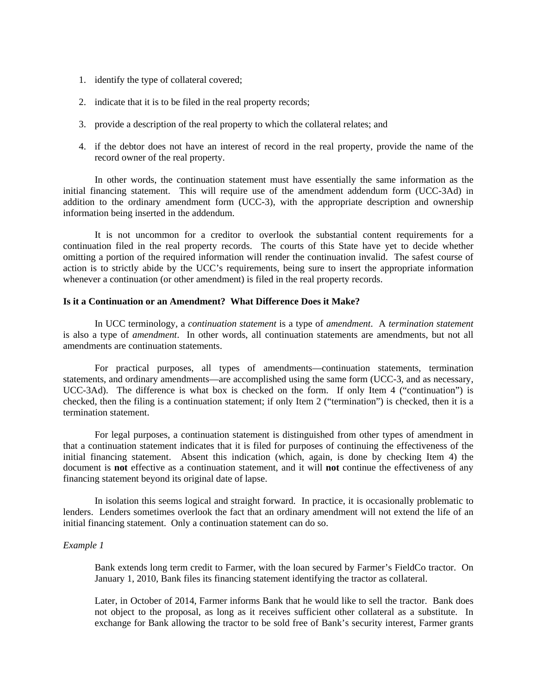- 1. identify the type of collateral covered;
- 2. indicate that it is to be filed in the real property records;
- 3. provide a description of the real property to which the collateral relates; and
- 4. if the debtor does not have an interest of record in the real property, provide the name of the record owner of the real property.

 In other words, the continuation statement must have essentially the same information as the initial financing statement. This will require use of the amendment addendum form (UCC-3Ad) in addition to the ordinary amendment form (UCC-3), with the appropriate description and ownership information being inserted in the addendum.

 It is not uncommon for a creditor to overlook the substantial content requirements for a continuation filed in the real property records. The courts of this State have yet to decide whether omitting a portion of the required information will render the continuation invalid. The safest course of action is to strictly abide by the UCC's requirements, being sure to insert the appropriate information whenever a continuation (or other amendment) is filed in the real property records.

## **Is it a Continuation or an Amendment? What Difference Does it Make?**

 In UCC terminology, a *continuation statement* is a type of *amendment*. A *termination statement* is also a type of *amendment*. In other words, all continuation statements are amendments, but not all amendments are continuation statements.

 For practical purposes, all types of amendments—continuation statements, termination statements, and ordinary amendments—are accomplished using the same form (UCC-3, and as necessary, UCC-3Ad). The difference is what box is checked on the form. If only Item 4 ("continuation") is checked, then the filing is a continuation statement; if only Item 2 ("termination") is checked, then it is a termination statement.

 For legal purposes, a continuation statement is distinguished from other types of amendment in that a continuation statement indicates that it is filed for purposes of continuing the effectiveness of the initial financing statement. Absent this indication (which, again, is done by checking Item 4) the document is **not** effective as a continuation statement, and it will **not** continue the effectiveness of any financing statement beyond its original date of lapse.

 In isolation this seems logical and straight forward. In practice, it is occasionally problematic to lenders. Lenders sometimes overlook the fact that an ordinary amendment will not extend the life of an initial financing statement. Only a continuation statement can do so.

## *Example 1*

Bank extends long term credit to Farmer, with the loan secured by Farmer's FieldCo tractor. On January 1, 2010, Bank files its financing statement identifying the tractor as collateral.

Later, in October of 2014, Farmer informs Bank that he would like to sell the tractor. Bank does not object to the proposal, as long as it receives sufficient other collateral as a substitute. In exchange for Bank allowing the tractor to be sold free of Bank's security interest, Farmer grants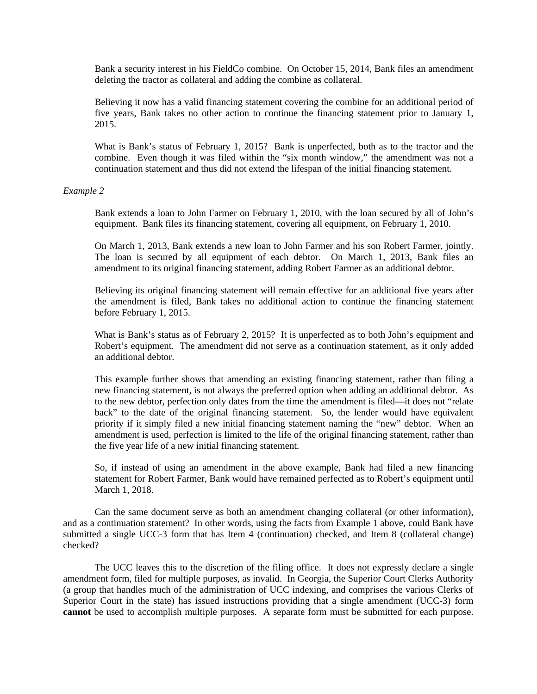Bank a security interest in his FieldCo combine. On October 15, 2014, Bank files an amendment deleting the tractor as collateral and adding the combine as collateral.

Believing it now has a valid financing statement covering the combine for an additional period of five years, Bank takes no other action to continue the financing statement prior to January 1, 2015.

What is Bank's status of February 1, 2015? Bank is unperfected, both as to the tractor and the combine. Even though it was filed within the "six month window," the amendment was not a continuation statement and thus did not extend the lifespan of the initial financing statement.

#### *Example 2*

Bank extends a loan to John Farmer on February 1, 2010, with the loan secured by all of John's equipment. Bank files its financing statement, covering all equipment, on February 1, 2010.

On March 1, 2013, Bank extends a new loan to John Farmer and his son Robert Farmer, jointly. The loan is secured by all equipment of each debtor. On March 1, 2013, Bank files an amendment to its original financing statement, adding Robert Farmer as an additional debtor.

Believing its original financing statement will remain effective for an additional five years after the amendment is filed, Bank takes no additional action to continue the financing statement before February 1, 2015.

What is Bank's status as of February 2, 2015? It is unperfected as to both John's equipment and Robert's equipment. The amendment did not serve as a continuation statement, as it only added an additional debtor.

This example further shows that amending an existing financing statement, rather than filing a new financing statement, is not always the preferred option when adding an additional debtor. As to the new debtor, perfection only dates from the time the amendment is filed—it does not "relate back" to the date of the original financing statement. So, the lender would have equivalent priority if it simply filed a new initial financing statement naming the "new" debtor. When an amendment is used, perfection is limited to the life of the original financing statement, rather than the five year life of a new initial financing statement.

So, if instead of using an amendment in the above example, Bank had filed a new financing statement for Robert Farmer, Bank would have remained perfected as to Robert's equipment until March 1, 2018.

 Can the same document serve as both an amendment changing collateral (or other information), and as a continuation statement? In other words, using the facts from Example 1 above, could Bank have submitted a single UCC-3 form that has Item 4 (continuation) checked, and Item 8 (collateral change) checked?

 The UCC leaves this to the discretion of the filing office. It does not expressly declare a single amendment form, filed for multiple purposes, as invalid. In Georgia, the Superior Court Clerks Authority (a group that handles much of the administration of UCC indexing, and comprises the various Clerks of Superior Court in the state) has issued instructions providing that a single amendment (UCC-3) form **cannot** be used to accomplish multiple purposes. A separate form must be submitted for each purpose.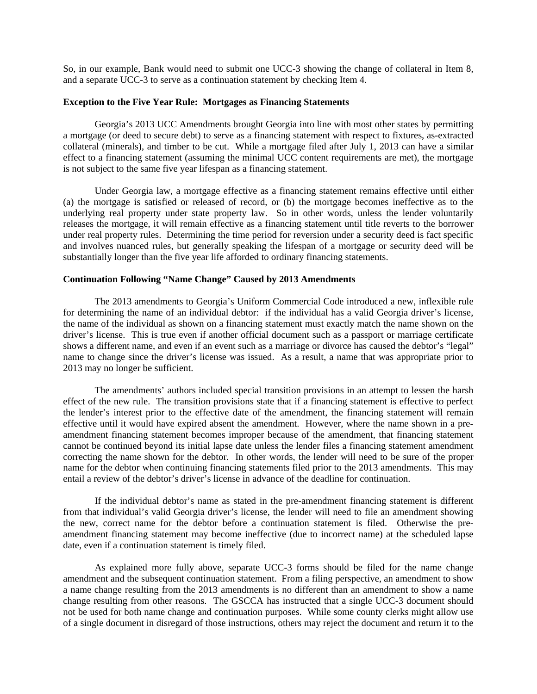So, in our example, Bank would need to submit one UCC-3 showing the change of collateral in Item 8, and a separate UCC-3 to serve as a continuation statement by checking Item 4.

#### **Exception to the Five Year Rule: Mortgages as Financing Statements**

 Georgia's 2013 UCC Amendments brought Georgia into line with most other states by permitting a mortgage (or deed to secure debt) to serve as a financing statement with respect to fixtures, as-extracted collateral (minerals), and timber to be cut. While a mortgage filed after July 1, 2013 can have a similar effect to a financing statement (assuming the minimal UCC content requirements are met), the mortgage is not subject to the same five year lifespan as a financing statement.

 Under Georgia law, a mortgage effective as a financing statement remains effective until either (a) the mortgage is satisfied or released of record, or (b) the mortgage becomes ineffective as to the underlying real property under state property law. So in other words, unless the lender voluntarily releases the mortgage, it will remain effective as a financing statement until title reverts to the borrower under real property rules. Determining the time period for reversion under a security deed is fact specific and involves nuanced rules, but generally speaking the lifespan of a mortgage or security deed will be substantially longer than the five year life afforded to ordinary financing statements.

## **Continuation Following "Name Change" Caused by 2013 Amendments**

 The 2013 amendments to Georgia's Uniform Commercial Code introduced a new, inflexible rule for determining the name of an individual debtor: if the individual has a valid Georgia driver's license, the name of the individual as shown on a financing statement must exactly match the name shown on the driver's license. This is true even if another official document such as a passport or marriage certificate shows a different name, and even if an event such as a marriage or divorce has caused the debtor's "legal" name to change since the driver's license was issued. As a result, a name that was appropriate prior to 2013 may no longer be sufficient.

 The amendments' authors included special transition provisions in an attempt to lessen the harsh effect of the new rule. The transition provisions state that if a financing statement is effective to perfect the lender's interest prior to the effective date of the amendment, the financing statement will remain effective until it would have expired absent the amendment. However, where the name shown in a preamendment financing statement becomes improper because of the amendment, that financing statement cannot be continued beyond its initial lapse date unless the lender files a financing statement amendment correcting the name shown for the debtor. In other words, the lender will need to be sure of the proper name for the debtor when continuing financing statements filed prior to the 2013 amendments. This may entail a review of the debtor's driver's license in advance of the deadline for continuation.

 If the individual debtor's name as stated in the pre-amendment financing statement is different from that individual's valid Georgia driver's license, the lender will need to file an amendment showing the new, correct name for the debtor before a continuation statement is filed. Otherwise the preamendment financing statement may become ineffective (due to incorrect name) at the scheduled lapse date, even if a continuation statement is timely filed.

 As explained more fully above, separate UCC-3 forms should be filed for the name change amendment and the subsequent continuation statement. From a filing perspective, an amendment to show a name change resulting from the 2013 amendments is no different than an amendment to show a name change resulting from other reasons. The GSCCA has instructed that a single UCC-3 document should not be used for both name change and continuation purposes. While some county clerks might allow use of a single document in disregard of those instructions, others may reject the document and return it to the